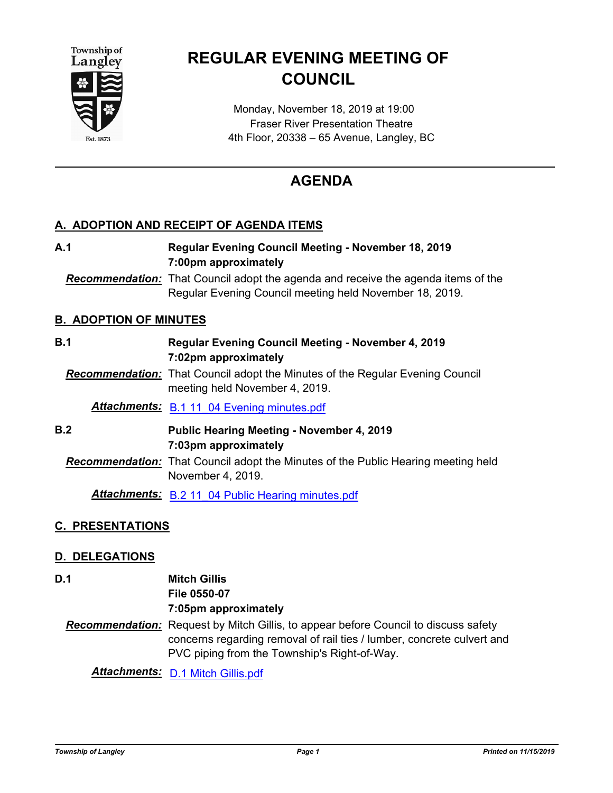



# **REGULAR EVENING MEETING OF COUNCIL**

Monday, November 18, 2019 at 19:00 Fraser River Presentation Theatre 4th Floor, 20338 – 65 Avenue, Langley, BC

## **AGENDA**

## **A. ADOPTION AND RECEIPT OF AGENDA ITEMS**

**Regular Evening Council Meeting - November 18, 2019 7:00pm approximately A.1** *Recommendation:* That Council adopt the agenda and receive the agenda items of the Regular Evening Council meeting held November 18, 2019. **B. ADOPTION OF MINUTES Regular Evening Council Meeting - November 4, 2019 7:02pm approximately B.1** *Recommendation:* That Council adopt the Minutes of the Regular Evening Council meeting held November 4, 2019. *Attachments:* [B.1 11\\_04 Evening minutes.pdf](http://tol.ca.legistar.com/gateway.aspx?M=F&ID=658a5fba-d204-4838-8e58-c7334473ba73.pdf) **Public Hearing Meeting - November 4, 2019 7:03pm approximately B.2** *Recommendation:* That Council adopt the Minutes of the Public Hearing meeting held November 4, 2019. *Attachments:* [B.2 11\\_04 Public Hearing minutes.pdf](http://tol.ca.legistar.com/gateway.aspx?M=F&ID=6401b4e8-0756-42b5-a364-1519b1409f71.pdf)

## **C. PRESENTATIONS**

## **D. DELEGATIONS**

**Mitch Gillis D.1**

**File 0550-07 7:05pm approximately**

*Recommendation:* Request by Mitch Gillis, to appear before Council to discuss safety concerns regarding removal of rail ties / lumber, concrete culvert and PVC piping from the Township's Right-of-Way.

*Attachments:* [D.1 Mitch Gillis.pdf](http://tol.ca.legistar.com/gateway.aspx?M=F&ID=085d281e-67fd-4d30-a69c-3a034bbd242c.pdf)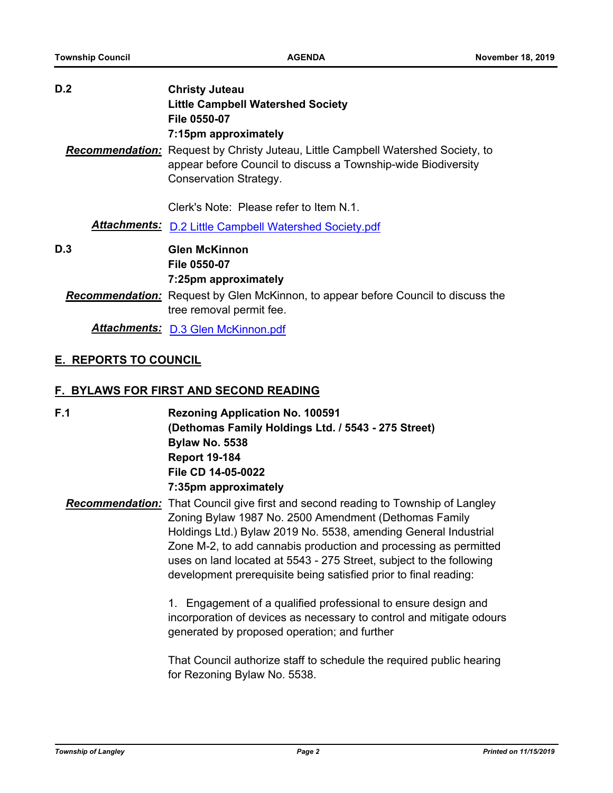| D.2                                                                           | <b>Christy Juteau</b><br><b>Little Campbell Watershed Society</b><br>File 0550-07<br>7:15pm approximately                                                                                                                                                                                                                                                                                                                                                                                                                                                                                                              |  |
|-------------------------------------------------------------------------------|------------------------------------------------------------------------------------------------------------------------------------------------------------------------------------------------------------------------------------------------------------------------------------------------------------------------------------------------------------------------------------------------------------------------------------------------------------------------------------------------------------------------------------------------------------------------------------------------------------------------|--|
|                                                                               | <b>Recommendation:</b> Request by Christy Juteau, Little Campbell Watershed Society, to<br>appear before Council to discuss a Township-wide Biodiversity<br><b>Conservation Strategy.</b>                                                                                                                                                                                                                                                                                                                                                                                                                              |  |
|                                                                               | Clerk's Note: Please refer to Item N.1.                                                                                                                                                                                                                                                                                                                                                                                                                                                                                                                                                                                |  |
|                                                                               | <b>Attachments: D.2 Little Campbell Watershed Society.pdf</b>                                                                                                                                                                                                                                                                                                                                                                                                                                                                                                                                                          |  |
| D.3                                                                           | <b>Glen McKinnon</b><br>File 0550-07<br>7:25pm approximately                                                                                                                                                                                                                                                                                                                                                                                                                                                                                                                                                           |  |
|                                                                               | <b>Recommendation:</b> Request by Glen McKinnon, to appear before Council to discuss the<br>tree removal permit fee.                                                                                                                                                                                                                                                                                                                                                                                                                                                                                                   |  |
|                                                                               | Attachments: D.3 Glen McKinnon.pdf                                                                                                                                                                                                                                                                                                                                                                                                                                                                                                                                                                                     |  |
| <b>E. REPORTS TO COUNCIL</b><br><b>F. BYLAWS FOR FIRST AND SECOND READING</b> |                                                                                                                                                                                                                                                                                                                                                                                                                                                                                                                                                                                                                        |  |
| F.1                                                                           | <b>Rezoning Application No. 100591</b><br>(Dethomas Family Holdings Ltd. / 5543 - 275 Street)<br><b>Bylaw No. 5538</b><br><b>Report 19-184</b><br>File CD 14-05-0022<br>7:35pm approximately                                                                                                                                                                                                                                                                                                                                                                                                                           |  |
|                                                                               | Recommendation: That Council give first and second reading to Township of Langley<br>Zoning Bylaw 1987 No. 2500 Amendment (Dethomas Family<br>Holdings Ltd.) Bylaw 2019 No. 5538, amending General Industrial<br>Zone M-2, to add cannabis production and processing as permitted<br>uses on land located at 5543 - 275 Street, subject to the following<br>development prerequisite being satisfied prior to final reading:<br>1. Engagement of a qualified professional to ensure design and<br>incorporation of devices as necessary to control and mitigate odours<br>generated by proposed operation; and further |  |
|                                                                               | That Council authorize staff to schedule the required public hearing<br>for Rezoning Bylaw No. 5538.                                                                                                                                                                                                                                                                                                                                                                                                                                                                                                                   |  |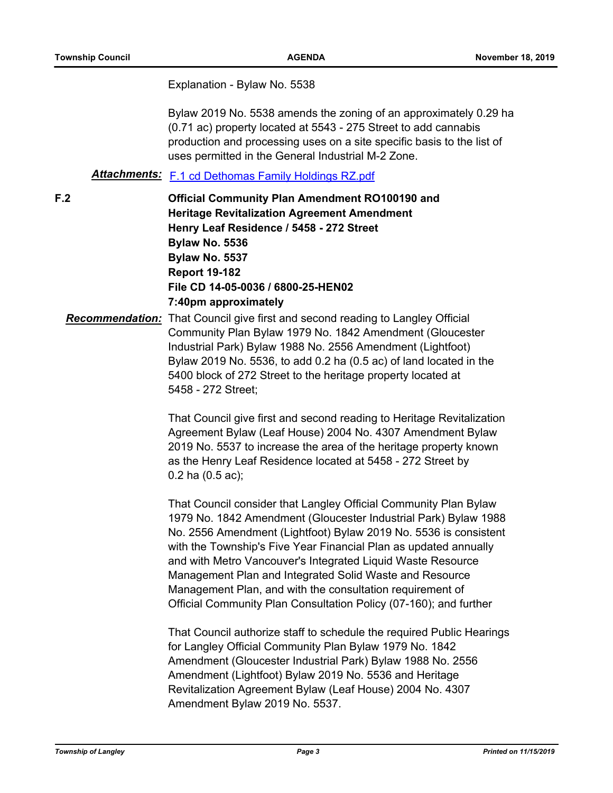Explanation - Bylaw No. 5538

Bylaw 2019 No. 5538 amends the zoning of an approximately 0.29 ha (0.71 ac) property located at 5543 - 275 Street to add cannabis production and processing uses on a site specific basis to the list of uses permitted in the General Industrial M-2 Zone.

## *Attachments:* [F.1 cd Dethomas Family Holdings RZ.pdf](http://tol.ca.legistar.com/gateway.aspx?M=F&ID=67ef727e-db0c-4311-a783-11dcae99e8e7.pdf)

**F.2**

**Official Community Plan Amendment RO100190 and Heritage Revitalization Agreement Amendment Henry Leaf Residence / 5458 - 272 Street Bylaw No. 5536 Bylaw No. 5537 Report 19-182 File CD 14-05-0036 / 6800-25-HEN02 7:40pm approximately**

*Recommendation:* That Council give first and second reading to Langley Official Community Plan Bylaw 1979 No. 1842 Amendment (Gloucester Industrial Park) Bylaw 1988 No. 2556 Amendment (Lightfoot) Bylaw 2019 No. 5536, to add 0.2 ha (0.5 ac) of land located in the 5400 block of 272 Street to the heritage property located at 5458 - 272 Street;

> That Council give first and second reading to Heritage Revitalization Agreement Bylaw (Leaf House) 2004 No. 4307 Amendment Bylaw 2019 No. 5537 to increase the area of the heritage property known as the Henry Leaf Residence located at 5458 - 272 Street by 0.2 ha (0.5 ac);

> That Council consider that Langley Official Community Plan Bylaw 1979 No. 1842 Amendment (Gloucester Industrial Park) Bylaw 1988 No. 2556 Amendment (Lightfoot) Bylaw 2019 No. 5536 is consistent with the Township's Five Year Financial Plan as updated annually and with Metro Vancouver's Integrated Liquid Waste Resource Management Plan and Integrated Solid Waste and Resource Management Plan, and with the consultation requirement of Official Community Plan Consultation Policy (07-160); and further

That Council authorize staff to schedule the required Public Hearings for Langley Official Community Plan Bylaw 1979 No. 1842 Amendment (Gloucester Industrial Park) Bylaw 1988 No. 2556 Amendment (Lightfoot) Bylaw 2019 No. 5536 and Heritage Revitalization Agreement Bylaw (Leaf House) 2004 No. 4307 Amendment Bylaw 2019 No. 5537.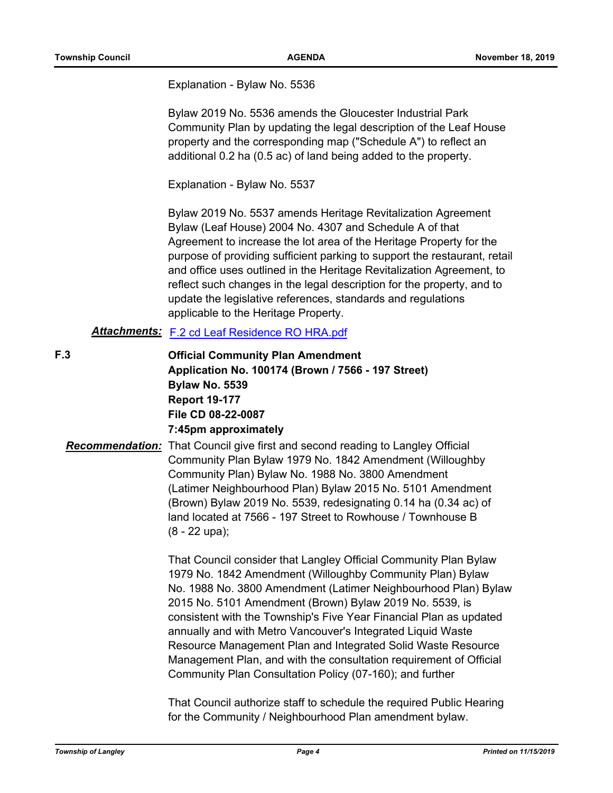Explanation - Bylaw No. 5536

Bylaw 2019 No. 5536 amends the Gloucester Industrial Park Community Plan by updating the legal description of the Leaf House property and the corresponding map ("Schedule A") to reflect an additional 0.2 ha (0.5 ac) of land being added to the property.

Explanation - Bylaw No. 5537

Bylaw 2019 No. 5537 amends Heritage Revitalization Agreement Bylaw (Leaf House) 2004 No. 4307 and Schedule A of that Agreement to increase the lot area of the Heritage Property for the purpose of providing sufficient parking to support the restaurant, retail and office uses outlined in the Heritage Revitalization Agreement, to reflect such changes in the legal description for the property, and to update the legislative references, standards and regulations applicable to the Heritage Property.

## *Attachments:* [F.2 cd Leaf Residence RO HRA.pdf](http://tol.ca.legistar.com/gateway.aspx?M=F&ID=fd67e7fb-9d03-40e3-af6b-17bae88b807f.pdf)

**F.3**

**Official Community Plan Amendment Application No. 100174 (Brown / 7566 - 197 Street) Bylaw No. 5539 Report 19-177 File CD 08-22-0087 7:45pm approximately**

*Recommendation:* That Council give first and second reading to Langley Official Community Plan Bylaw 1979 No. 1842 Amendment (Willoughby Community Plan) Bylaw No. 1988 No. 3800 Amendment (Latimer Neighbourhood Plan) Bylaw 2015 No. 5101 Amendment (Brown) Bylaw 2019 No. 5539, redesignating 0.14 ha (0.34 ac) of land located at 7566 - 197 Street to Rowhouse / Townhouse B (8 - 22 upa);

> That Council consider that Langley Official Community Plan Bylaw 1979 No. 1842 Amendment (Willoughby Community Plan) Bylaw No. 1988 No. 3800 Amendment (Latimer Neighbourhood Plan) Bylaw 2015 No. 5101 Amendment (Brown) Bylaw 2019 No. 5539, is consistent with the Township's Five Year Financial Plan as updated annually and with Metro Vancouver's Integrated Liquid Waste Resource Management Plan and Integrated Solid Waste Resource Management Plan, and with the consultation requirement of Official Community Plan Consultation Policy (07-160); and further

That Council authorize staff to schedule the required Public Hearing for the Community / Neighbourhood Plan amendment bylaw.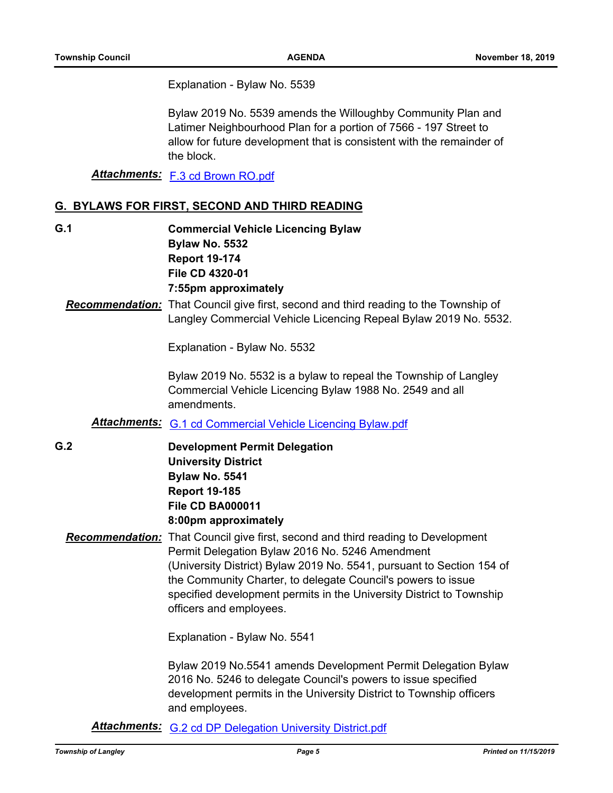Explanation - Bylaw No. 5539

Bylaw 2019 No. 5539 amends the Willoughby Community Plan and Latimer Neighbourhood Plan for a portion of 7566 - 197 Street to allow for future development that is consistent with the remainder of the block.

*Attachments:* [F.3 cd Brown RO.pdf](http://tol.ca.legistar.com/gateway.aspx?M=F&ID=9acf082a-6880-4c60-b0fe-d964fafdbb63.pdf)

## **G. BYLAWS FOR FIRST, SECOND AND THIRD READING**

**Commercial Vehicle Licencing Bylaw Bylaw No. 5532 Report 19-174 File CD 4320-01 7:55pm approximately G.1**

## *Recommendation:* That Council give first, second and third reading to the Township of Langley Commercial Vehicle Licencing Repeal Bylaw 2019 No. 5532.

Explanation - Bylaw No. 5532

Bylaw 2019 No. 5532 is a bylaw to repeal the Township of Langley Commercial Vehicle Licencing Bylaw 1988 No. 2549 and all amendments.

- *Attachments:* [G.1 cd Commercial Vehicle Licencing Bylaw.pdf](http://tol.ca.legistar.com/gateway.aspx?M=F&ID=607ac365-ee7b-4f31-b085-63724847e827.pdf)
- **Development Permit Delegation University District Bylaw No. 5541 Report 19-185 File CD BA000011 8:00pm approximately G.2**
	- *Recommendation:* That Council give first, second and third reading to Development Permit Delegation Bylaw 2016 No. 5246 Amendment (University District) Bylaw 2019 No. 5541, pursuant to Section 154 of the Community Charter, to delegate Council's powers to issue specified development permits in the University District to Township officers and employees.

Explanation - Bylaw No. 5541

Bylaw 2019 No.5541 amends Development Permit Delegation Bylaw 2016 No. 5246 to delegate Council's powers to issue specified development permits in the University District to Township officers and employees.

*Attachments:* [G.2 cd DP Delegation University District.pdf](http://tol.ca.legistar.com/gateway.aspx?M=F&ID=c400e285-f791-4a36-be2a-98c6ebf2f301.pdf)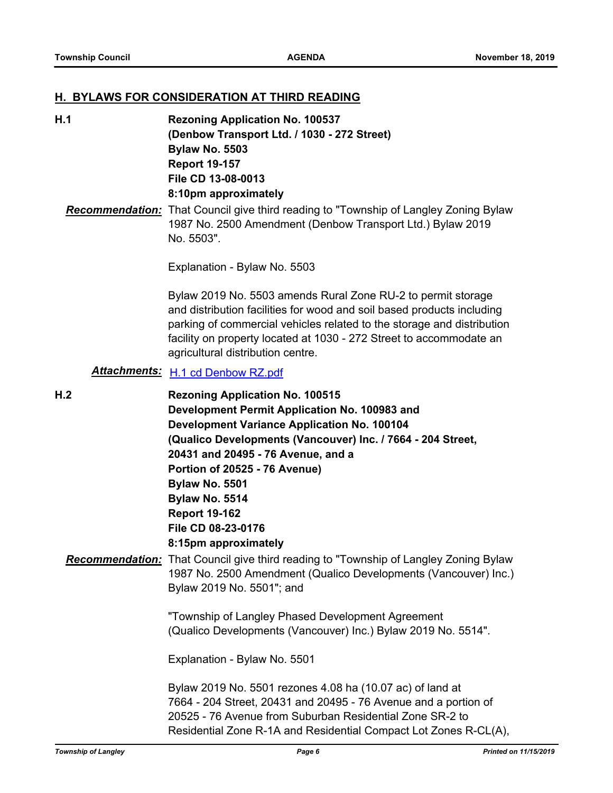#### **H. BYLAWS FOR CONSIDERATION AT THIRD READING**

**Rezoning Application No. 100537 (Denbow Transport Ltd. / 1030 - 272 Street) Bylaw No. 5503 Report 19-157 File CD 13-08-0013 8:10pm approximately H.1**

*Recommendation:* That Council give third reading to "Township of Langley Zoning Bylaw 1987 No. 2500 Amendment (Denbow Transport Ltd.) Bylaw 2019 No. 5503".

Explanation - Bylaw No. 5503

Bylaw 2019 No. 5503 amends Rural Zone RU-2 to permit storage and distribution facilities for wood and soil based products including parking of commercial vehicles related to the storage and distribution facility on property located at 1030 - 272 Street to accommodate an agricultural distribution centre.

## *Attachments:* [H.1 cd Denbow RZ.pdf](http://tol.ca.legistar.com/gateway.aspx?M=F&ID=dd86106c-677b-4f43-8077-7aaf12db5ebd.pdf)

**Rezoning Application No. 100515 Development Permit Application No. 100983 and Development Variance Application No. 100104 (Qualico Developments (Vancouver) Inc. / 7664 - 204 Street, 20431 and 20495 - 76 Avenue, and a Portion of 20525 - 76 Avenue) Bylaw No. 5501 Bylaw No. 5514 Report 19-162 File CD 08-23-0176 8:15pm approximately H.2** *Recommendation:* That Council give third reading to "Township of Langley Zoning Bylaw 1987 No. 2500 Amendment (Qualico Developments (Vancouver) Inc.) Bylaw 2019 No. 5501"; and "Township of Langley Phased Development Agreement (Qualico Developments (Vancouver) Inc.) Bylaw 2019 No. 5514". Explanation - Bylaw No. 5501 Bylaw 2019 No. 5501 rezones 4.08 ha (10.07 ac) of land at 7664 - 204 Street, 20431 and 20495 - 76 Avenue and a portion of 20525 - 76 Avenue from Suburban Residential Zone SR-2 to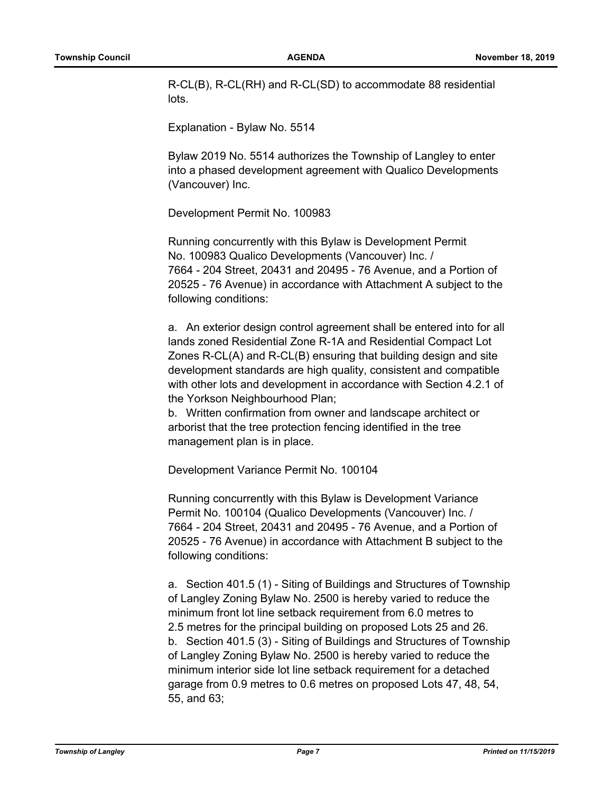R-CL(B), R-CL(RH) and R-CL(SD) to accommodate 88 residential lots.

Explanation - Bylaw No. 5514

Bylaw 2019 No. 5514 authorizes the Township of Langley to enter into a phased development agreement with Qualico Developments (Vancouver) Inc.

Development Permit No. 100983

Running concurrently with this Bylaw is Development Permit No. 100983 Qualico Developments (Vancouver) Inc. / 7664 - 204 Street, 20431 and 20495 - 76 Avenue, and a Portion of 20525 - 76 Avenue) in accordance with Attachment A subject to the following conditions:

a. An exterior design control agreement shall be entered into for all lands zoned Residential Zone R-1A and Residential Compact Lot Zones R-CL(A) and R-CL(B) ensuring that building design and site development standards are high quality, consistent and compatible with other lots and development in accordance with Section 4.2.1 of the Yorkson Neighbourhood Plan;

b. Written confirmation from owner and landscape architect or arborist that the tree protection fencing identified in the tree management plan is in place.

Development Variance Permit No. 100104

Running concurrently with this Bylaw is Development Variance Permit No. 100104 (Qualico Developments (Vancouver) Inc. / 7664 - 204 Street, 20431 and 20495 - 76 Avenue, and a Portion of 20525 - 76 Avenue) in accordance with Attachment B subject to the following conditions:

a. Section 401.5 (1) - Siting of Buildings and Structures of Township of Langley Zoning Bylaw No. 2500 is hereby varied to reduce the minimum front lot line setback requirement from 6.0 metres to 2.5 metres for the principal building on proposed Lots 25 and 26. b. Section 401.5 (3) - Siting of Buildings and Structures of Township of Langley Zoning Bylaw No. 2500 is hereby varied to reduce the minimum interior side lot line setback requirement for a detached garage from 0.9 metres to 0.6 metres on proposed Lots 47, 48, 54, 55, and 63;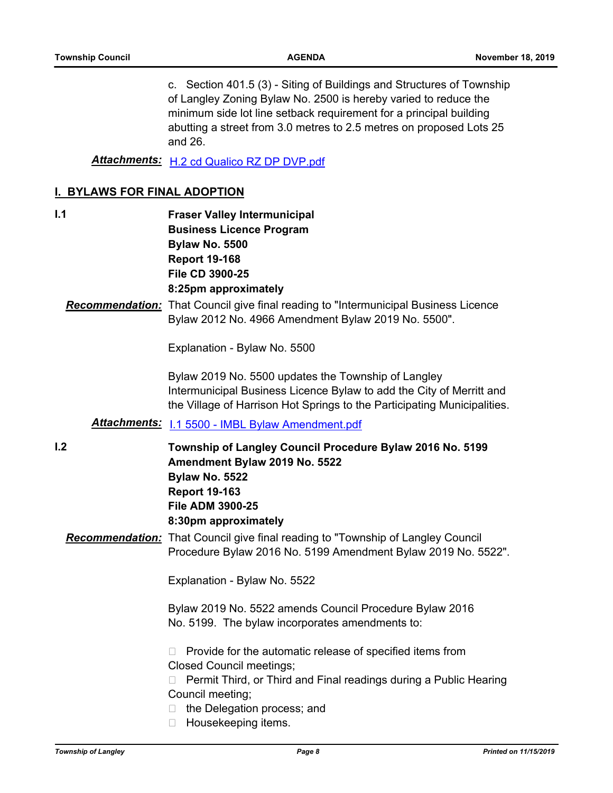c. Section 401.5 (3) - Siting of Buildings and Structures of Township of Langley Zoning Bylaw No. 2500 is hereby varied to reduce the minimum side lot line setback requirement for a principal building abutting a street from 3.0 metres to 2.5 metres on proposed Lots 25 and 26.

*Attachments:* [H.2 cd Qualico RZ DP DVP.pdf](http://tol.ca.legistar.com/gateway.aspx?M=F&ID=9467bea3-b9cc-40db-942f-b2ff60a10b60.pdf)

#### **I. BYLAWS FOR FINAL ADOPTION**

**I.1**

**Fraser Valley Intermunicipal Business Licence Program Bylaw No. 5500 Report 19-168 File CD 3900-25 8:25pm approximately**

*Recommendation:* That Council give final reading to "Intermunicipal Business Licence Bylaw 2012 No. 4966 Amendment Bylaw 2019 No. 5500".

Explanation - Bylaw No. 5500

Bylaw 2019 No. 5500 updates the Township of Langley Intermunicipal Business Licence Bylaw to add the City of Merritt and the Village of Harrison Hot Springs to the Participating Municipalities.

## *Attachments:* [I.1 5500 - IMBL Bylaw Amendment.pdf](http://tol.ca.legistar.com/gateway.aspx?M=F&ID=78416ba6-45e2-4c3d-a646-eef691863d91.pdf)

**I.2**

**Township of Langley Council Procedure Bylaw 2016 No. 5199 Amendment Bylaw 2019 No. 5522 Bylaw No. 5522 Report 19-163 File ADM 3900-25 8:30pm approximately**

*Recommendation:* That Council give final reading to "Township of Langley Council Procedure Bylaw 2016 No. 5199 Amendment Bylaw 2019 No. 5522".

Explanation - Bylaw No. 5522

Bylaw 2019 No. 5522 amends Council Procedure Bylaw 2016 No. 5199. The bylaw incorporates amendments to:

 $\Box$  Provide for the automatic release of specified items from Closed Council meetings;

□ Permit Third, or Third and Final readings during a Public Hearing Council meeting;

□ the Delegation process; and

 $\Box$  Housekeeping items.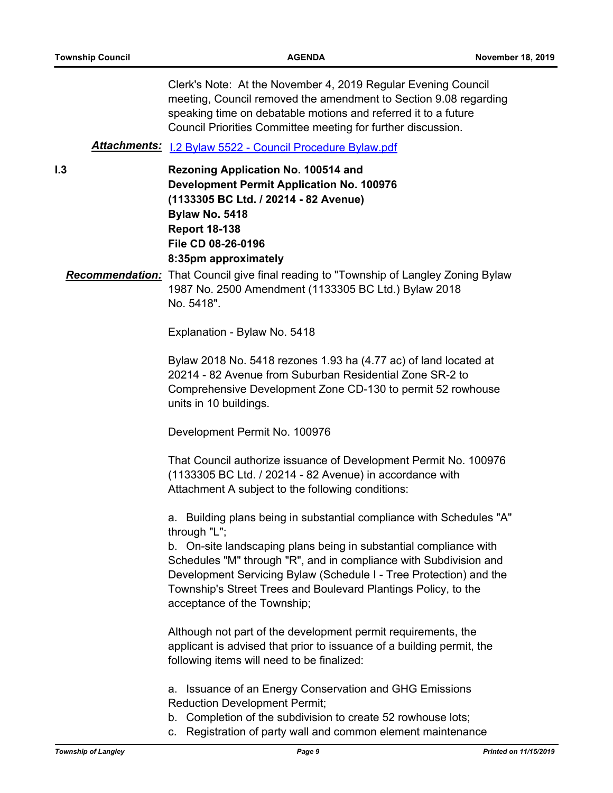**I.3**

Clerk's Note: At the November 4, 2019 Regular Evening Council meeting, Council removed the amendment to Section 9.08 regarding speaking time on debatable motions and referred it to a future Council Priorities Committee meeting for further discussion. *Attachments:* [I.2 Bylaw 5522 - Council Procedure Bylaw.pdf](http://tol.ca.legistar.com/gateway.aspx?M=F&ID=cf48ea9e-4aff-4509-b6c3-cb4ffe1cfb17.pdf) **Rezoning Application No. 100514 and Development Permit Application No. 100976 (1133305 BC Ltd. / 20214 - 82 Avenue) Bylaw No. 5418 Report 18-138 File CD 08-26-0196 8:35pm approximately** *Recommendation:* That Council give final reading to "Township of Langley Zoning Bylaw 1987 No. 2500 Amendment (1133305 BC Ltd.) Bylaw 2018 No. 5418".

Explanation - Bylaw No. 5418

Bylaw 2018 No. 5418 rezones 1.93 ha (4.77 ac) of land located at 20214 - 82 Avenue from Suburban Residential Zone SR-2 to Comprehensive Development Zone CD-130 to permit 52 rowhouse units in 10 buildings.

Development Permit No. 100976

That Council authorize issuance of Development Permit No. 100976 (1133305 BC Ltd. / 20214 - 82 Avenue) in accordance with Attachment A subject to the following conditions:

a. Building plans being in substantial compliance with Schedules "A" through "L";

b. On-site landscaping plans being in substantial compliance with Schedules "M" through "R", and in compliance with Subdivision and Development Servicing Bylaw (Schedule I - Tree Protection) and the Township's Street Trees and Boulevard Plantings Policy, to the acceptance of the Township;

Although not part of the development permit requirements, the applicant is advised that prior to issuance of a building permit, the following items will need to be finalized:

a. Issuance of an Energy Conservation and GHG Emissions Reduction Development Permit;

- b. Completion of the subdivision to create 52 rowhouse lots;
- c. Registration of party wall and common element maintenance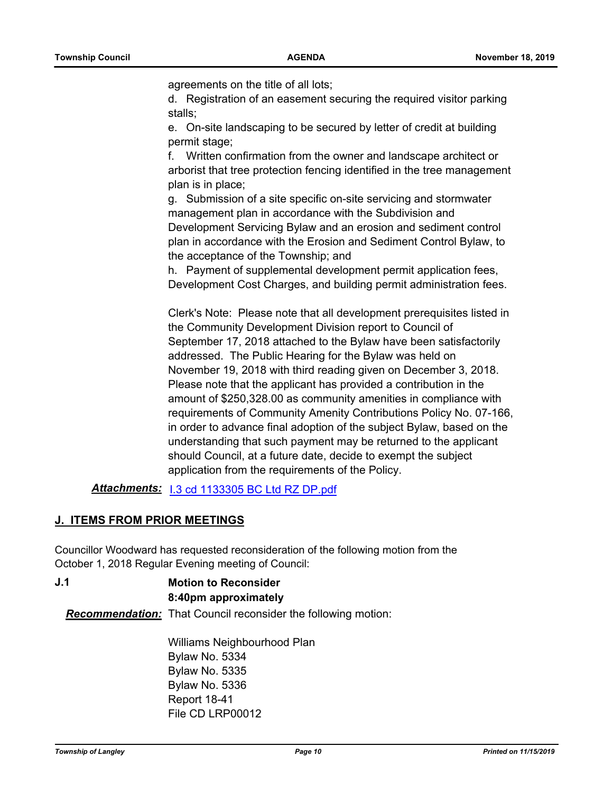agreements on the title of all lots;

d. Registration of an easement securing the required visitor parking stalls;

e. On-site landscaping to be secured by letter of credit at building permit stage;

f. Written confirmation from the owner and landscape architect or arborist that tree protection fencing identified in the tree management plan is in place;

g. Submission of a site specific on-site servicing and stormwater management plan in accordance with the Subdivision and Development Servicing Bylaw and an erosion and sediment control plan in accordance with the Erosion and Sediment Control Bylaw, to the acceptance of the Township; and

h. Payment of supplemental development permit application fees, Development Cost Charges, and building permit administration fees.

Clerk's Note: Please note that all development prerequisites listed in the Community Development Division report to Council of September 17, 2018 attached to the Bylaw have been satisfactorily addressed. The Public Hearing for the Bylaw was held on November 19, 2018 with third reading given on December 3, 2018. Please note that the applicant has provided a contribution in the amount of \$250,328.00 as community amenities in compliance with requirements of Community Amenity Contributions Policy No. 07-166, in order to advance final adoption of the subject Bylaw, based on the understanding that such payment may be returned to the applicant should Council, at a future date, decide to exempt the subject application from the requirements of the Policy.

*Attachments:* [I.3 cd 1133305 BC Ltd RZ DP.pdf](http://tol.ca.legistar.com/gateway.aspx?M=F&ID=46c89dcd-50b6-4dc2-81a0-d0794a0a3725.pdf)

#### **J. ITEMS FROM PRIOR MEETINGS**

Councillor Woodward has requested reconsideration of the following motion from the October 1, 2018 Regular Evening meeting of Council:

**Motion to Reconsider 8:40pm approximately J.1** *Recommendation:* That Council reconsider the following motion:

> Williams Neighbourhood Plan Bylaw No. 5334 Bylaw No. 5335 Bylaw No. 5336 Report 18-41 File CD LRP00012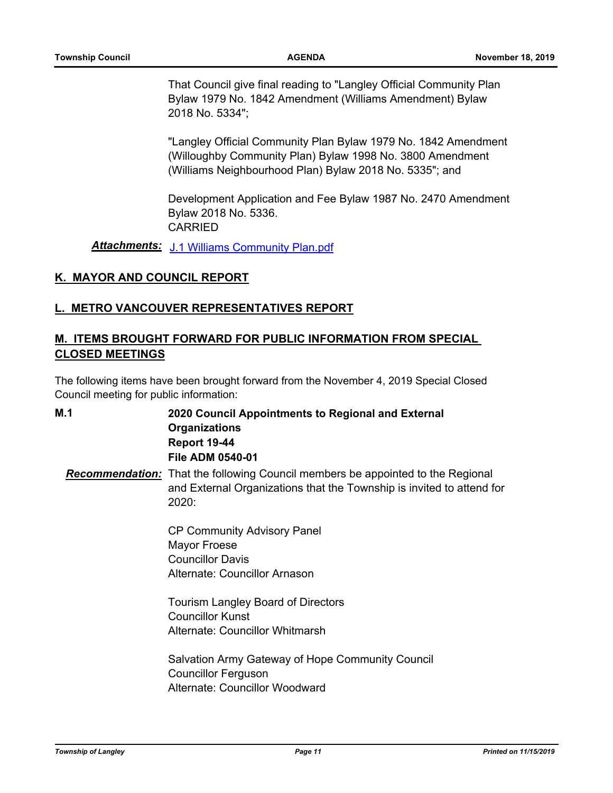That Council give final reading to "Langley Official Community Plan Bylaw 1979 No. 1842 Amendment (Williams Amendment) Bylaw 2018 No. 5334";

"Langley Official Community Plan Bylaw 1979 No. 1842 Amendment (Willoughby Community Plan) Bylaw 1998 No. 3800 Amendment (Williams Neighbourhood Plan) Bylaw 2018 No. 5335"; and

Development Application and Fee Bylaw 1987 No. 2470 Amendment Bylaw 2018 No. 5336. CARRIED

*Attachments:* [J.1 Williams Community Plan.pdf](http://tol.ca.legistar.com/gateway.aspx?M=F&ID=08cdd11d-66eb-47e1-b47c-099a61b1c63d.pdf)

#### **K. MAYOR AND COUNCIL REPORT**

#### **L. METRO VANCOUVER REPRESENTATIVES REPORT**

## **M. ITEMS BROUGHT FORWARD FOR PUBLIC INFORMATION FROM SPECIAL CLOSED MEETINGS**

The following items have been brought forward from the November 4, 2019 Special Closed Council meeting for public information:

**2020 Council Appointments to Regional and External Organizations Report 19-44 File ADM 0540-01 M.1** *Recommendation:* That the following Council members be appointed to the Regional and External Organizations that the Township is invited to attend for 2020: CP Community Advisory Panel Mayor Froese Councillor Davis Alternate: Councillor Arnason Tourism Langley Board of Directors Councillor Kunst Alternate: Councillor Whitmarsh

Salvation Army Gateway of Hope Community Council Councillor Ferguson Alternate: Councillor Woodward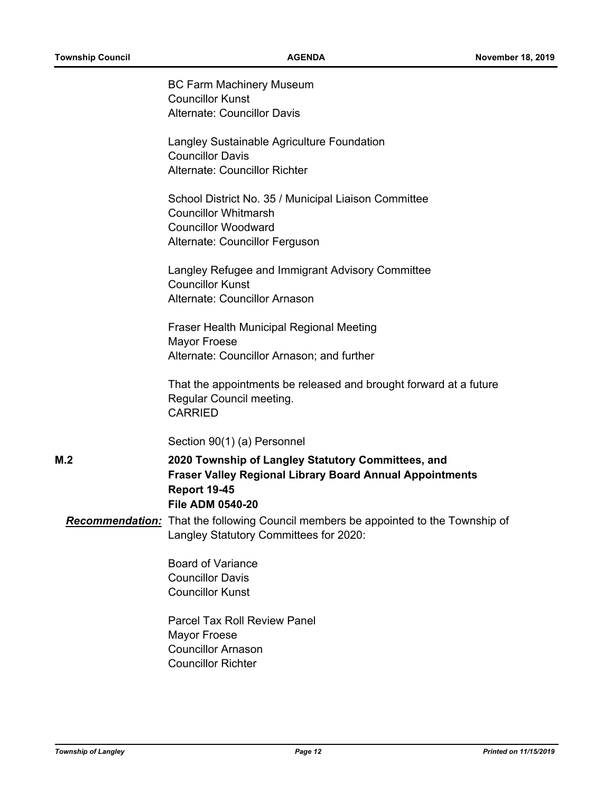|     | <b>BC Farm Machinery Museum</b><br><b>Councillor Kunst</b>                                                                   |
|-----|------------------------------------------------------------------------------------------------------------------------------|
|     | <b>Alternate: Councillor Davis</b>                                                                                           |
|     |                                                                                                                              |
|     | Langley Sustainable Agriculture Foundation                                                                                   |
|     | <b>Councillor Davis</b>                                                                                                      |
|     | Alternate: Councillor Richter                                                                                                |
|     | School District No. 35 / Municipal Liaison Committee                                                                         |
|     | <b>Councillor Whitmarsh</b>                                                                                                  |
|     | <b>Councillor Woodward</b>                                                                                                   |
|     | Alternate: Councillor Ferguson                                                                                               |
|     | Langley Refugee and Immigrant Advisory Committee                                                                             |
|     | <b>Councillor Kunst</b>                                                                                                      |
|     | Alternate: Councillor Arnason                                                                                                |
|     | Fraser Health Municipal Regional Meeting                                                                                     |
|     | <b>Mayor Froese</b>                                                                                                          |
|     | Alternate: Councillor Arnason; and further                                                                                   |
|     | That the appointments be released and brought forward at a future                                                            |
|     | Regular Council meeting.                                                                                                     |
|     | <b>CARRIED</b>                                                                                                               |
|     | Section 90(1) (a) Personnel                                                                                                  |
| M.2 | 2020 Township of Langley Statutory Committees, and                                                                           |
|     | <b>Fraser Valley Regional Library Board Annual Appointments</b>                                                              |
|     | <b>Report 19-45</b>                                                                                                          |
|     | <b>File ADM 0540-20</b>                                                                                                      |
|     | Recommendation: That the following Council members be appointed to the Township of<br>Langley Statutory Committees for 2020: |
|     |                                                                                                                              |
|     | <b>Board of Variance</b>                                                                                                     |
|     | <b>Councillor Davis</b>                                                                                                      |
|     | <b>Councillor Kunst</b>                                                                                                      |
|     | <b>Parcel Tax Roll Review Panel</b>                                                                                          |
|     | <b>Mayor Froese</b>                                                                                                          |
|     | <b>Councillor Arnason</b>                                                                                                    |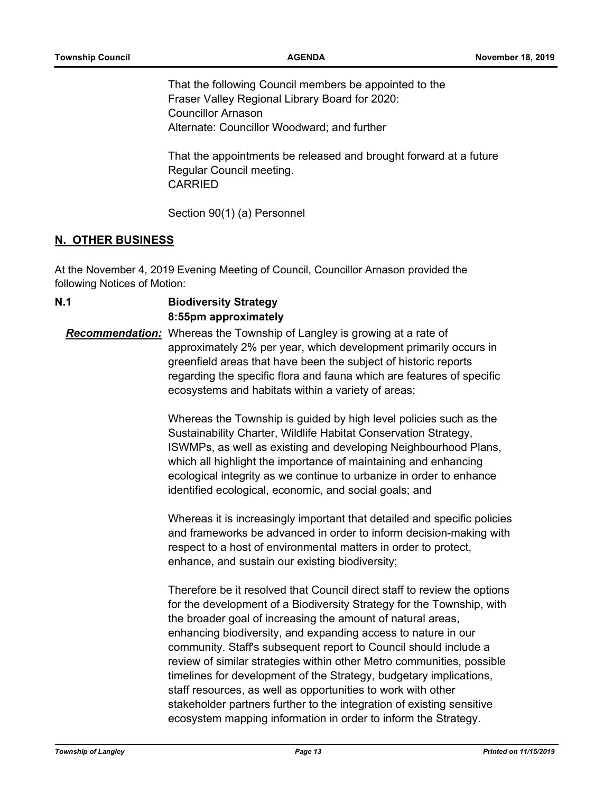That the following Council members be appointed to the Fraser Valley Regional Library Board for 2020: Councillor Arnason Alternate: Councillor Woodward; and further

That the appointments be released and brought forward at a future Regular Council meeting. CARRIED

Section 90(1) (a) Personnel

#### **N. OTHER BUSINESS**

At the November 4, 2019 Evening Meeting of Council, Councillor Arnason provided the following Notices of Motion:

**Biodiversity Strategy 8:55pm approximately N.1** *Recommendation:* Whereas the Township of Langley is growing at a rate of approximately 2% per year, which development primarily occurs in greenfield areas that have been the subject of historic reports regarding the specific flora and fauna which are features of specific ecosystems and habitats within a variety of areas;

> Whereas the Township is guided by high level policies such as the Sustainability Charter, Wildlife Habitat Conservation Strategy, ISWMPs, as well as existing and developing Neighbourhood Plans, which all highlight the importance of maintaining and enhancing ecological integrity as we continue to urbanize in order to enhance identified ecological, economic, and social goals; and

Whereas it is increasingly important that detailed and specific policies and frameworks be advanced in order to inform decision-making with respect to a host of environmental matters in order to protect, enhance, and sustain our existing biodiversity;

Therefore be it resolved that Council direct staff to review the options for the development of a Biodiversity Strategy for the Township, with the broader goal of increasing the amount of natural areas, enhancing biodiversity, and expanding access to nature in our community. Staff's subsequent report to Council should include a review of similar strategies within other Metro communities, possible timelines for development of the Strategy, budgetary implications, staff resources, as well as opportunities to work with other stakeholder partners further to the integration of existing sensitive ecosystem mapping information in order to inform the Strategy.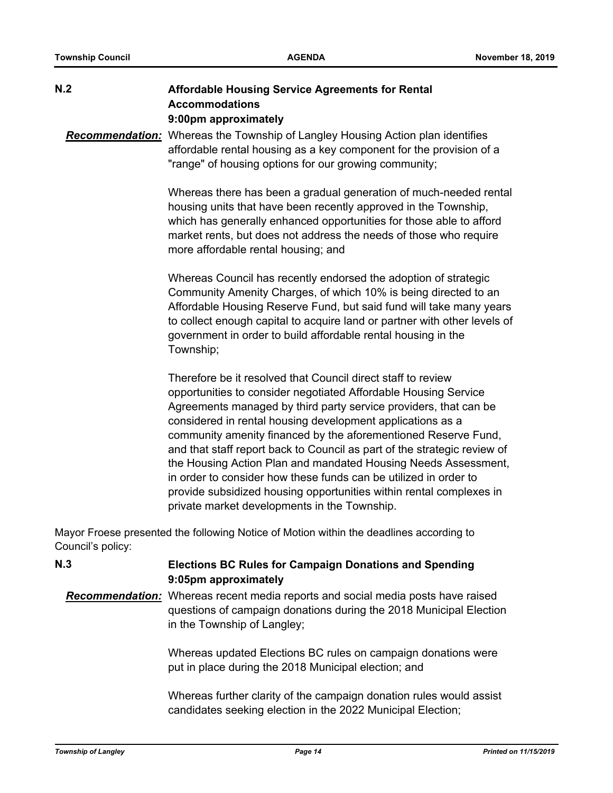| N.2               | <b>Affordable Housing Service Agreements for Rental</b><br><b>Accommodations</b><br>9:00pm approximately                                                                                                                                                                                                                                                                                                                                                                                                                                                                                                                                                                     |
|-------------------|------------------------------------------------------------------------------------------------------------------------------------------------------------------------------------------------------------------------------------------------------------------------------------------------------------------------------------------------------------------------------------------------------------------------------------------------------------------------------------------------------------------------------------------------------------------------------------------------------------------------------------------------------------------------------|
|                   | <b>Recommendation:</b> Whereas the Township of Langley Housing Action plan identifies<br>affordable rental housing as a key component for the provision of a<br>"range" of housing options for our growing community;                                                                                                                                                                                                                                                                                                                                                                                                                                                        |
|                   | Whereas there has been a gradual generation of much-needed rental<br>housing units that have been recently approved in the Township,<br>which has generally enhanced opportunities for those able to afford<br>market rents, but does not address the needs of those who require<br>more affordable rental housing; and                                                                                                                                                                                                                                                                                                                                                      |
|                   | Whereas Council has recently endorsed the adoption of strategic<br>Community Amenity Charges, of which 10% is being directed to an<br>Affordable Housing Reserve Fund, but said fund will take many years<br>to collect enough capital to acquire land or partner with other levels of<br>government in order to build affordable rental housing in the<br>Township;                                                                                                                                                                                                                                                                                                         |
|                   | Therefore be it resolved that Council direct staff to review<br>opportunities to consider negotiated Affordable Housing Service<br>Agreements managed by third party service providers, that can be<br>considered in rental housing development applications as a<br>community amenity financed by the aforementioned Reserve Fund,<br>and that staff report back to Council as part of the strategic review of<br>the Housing Action Plan and mandated Housing Needs Assessment,<br>in order to consider how these funds can be utilized in order to<br>provide subsidized housing opportunities within rental complexes in<br>private market developments in the Township. |
| Council's policy: | Mayor Froese presented the following Notice of Motion within the deadlines according to                                                                                                                                                                                                                                                                                                                                                                                                                                                                                                                                                                                      |
| N.3               | <b>Elections BC Rules for Campaign Donations and Spending</b><br>9:05pm approximately                                                                                                                                                                                                                                                                                                                                                                                                                                                                                                                                                                                        |
|                   | Recommendation: Whereas recent media reports and social media posts have raised<br>questions of campaign donations during the 2018 Municipal Election                                                                                                                                                                                                                                                                                                                                                                                                                                                                                                                        |

Whereas updated Elections BC rules on campaign donations were put in place during the 2018 Municipal election; and

Whereas further clarity of the campaign donation rules would assist candidates seeking election in the 2022 Municipal Election;

in the Township of Langley;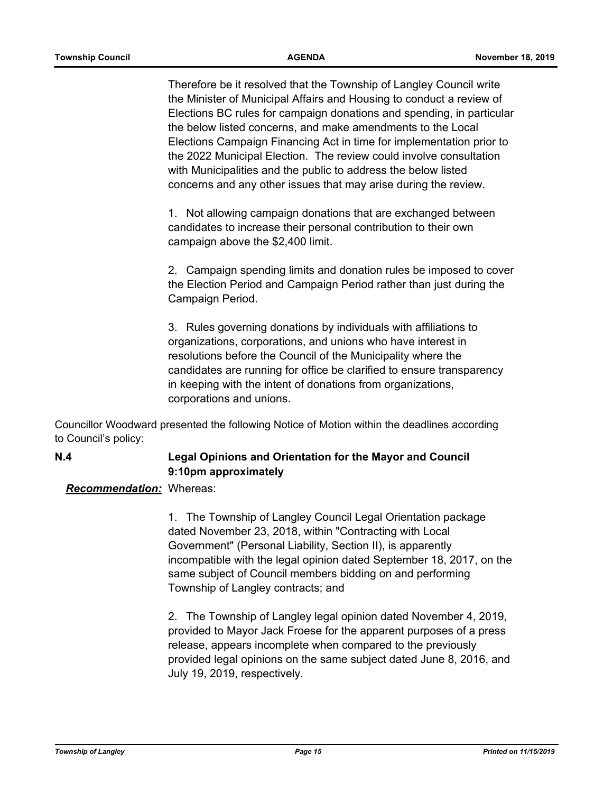Therefore be it resolved that the Township of Langley Council write the Minister of Municipal Affairs and Housing to conduct a review of Elections BC rules for campaign donations and spending, in particular the below listed concerns, and make amendments to the Local Elections Campaign Financing Act in time for implementation prior to the 2022 Municipal Election. The review could involve consultation with Municipalities and the public to address the below listed concerns and any other issues that may arise during the review.

1. Not allowing campaign donations that are exchanged between candidates to increase their personal contribution to their own campaign above the \$2,400 limit.

2. Campaign spending limits and donation rules be imposed to cover the Election Period and Campaign Period rather than just during the Campaign Period.

3. Rules governing donations by individuals with affiliations to organizations, corporations, and unions who have interest in resolutions before the Council of the Municipality where the candidates are running for office be clarified to ensure transparency in keeping with the intent of donations from organizations, corporations and unions.

Councillor Woodward presented the following Notice of Motion within the deadlines according to Council's policy:

## **Legal Opinions and Orientation for the Mayor and Council 9:10pm approximately**

#### *Recommendation:* Whereas:

**N.4**

1. The Township of Langley Council Legal Orientation package dated November 23, 2018, within "Contracting with Local Government" (Personal Liability, Section II), is apparently incompatible with the legal opinion dated September 18, 2017, on the same subject of Council members bidding on and performing Township of Langley contracts; and

2. The Township of Langley legal opinion dated November 4, 2019, provided to Mayor Jack Froese for the apparent purposes of a press release, appears incomplete when compared to the previously provided legal opinions on the same subject dated June 8, 2016, and July 19, 2019, respectively.